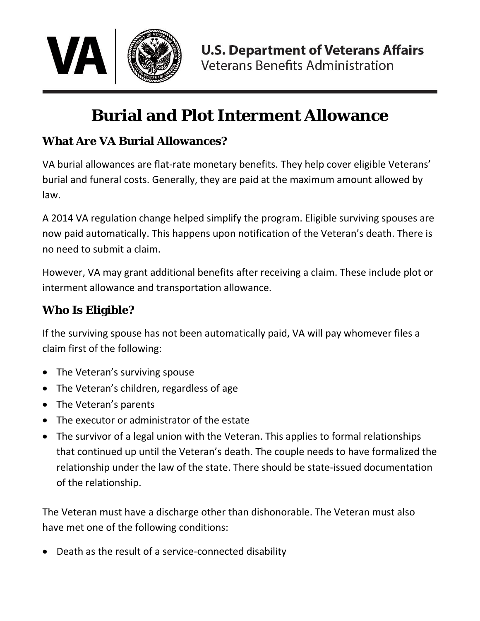

# **Burial and Plot Interment Allowance**

### **What Are VA Burial Allowances?**

VA burial allowances are flat-rate monetary benefits. They help cover eligible Veterans' burial and funeral costs. Generally, they are paid at the maximum amount allowed by law.

A 2014 VA regulation change helped simplify the program. Eligible surviving spouses are now paid automatically. This happens upon notification of the Veteran's death. There is no need to submit a claim.

However, VA may grant additional benefits after receiving a claim. These include plot or interment allowance and transportation allowance.

### **Who Is Eligible?**

If the surviving spouse has not been automatically paid, VA will pay whomever files a claim first of the following:

- The Veteran's surviving spouse
- The Veteran's children, regardless of age
- The Veteran's parents
- The executor or administrator of the estate
- The survivor of a legal union with the Veteran. This applies to formal relationships that continued up until the Veteran's death. The couple needs to have formalized the relationship under the law of the state. There should be state-issued documentation of the relationship.

The Veteran must have a discharge other than dishonorable. The Veteran must also have met one of the following conditions:

• Death as the result of a service-connected disability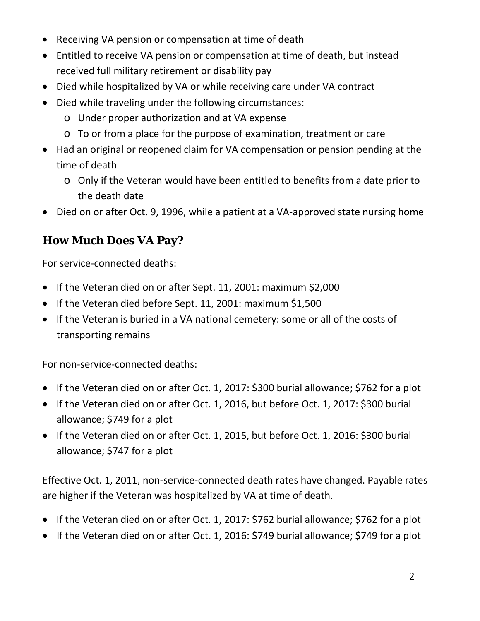- Receiving VA pension or compensation at time of death
- Entitled to receive VA pension or compensation at time of death, but instead received full military retirement or disability pay
- Died while hospitalized by VA or while receiving care under VA contract
- Died while traveling under the following circumstances:
	- o Under proper authorization and at VA expense
	- o To or from a place for the purpose of examination, treatment or care
- Had an original or reopened claim for VA compensation or pension pending at the time of death
	- o Only if the Veteran would have been entitled to benefits from a date prior to the death date
- Died on or after Oct. 9, 1996, while a patient at a VA-approved state nursing home

## **How Much Does VA Pay?**

For service-connected deaths:

- If the Veteran died on or after Sept. 11, 2001: maximum \$2,000
- If the Veteran died before Sept. 11, 2001: maximum \$1,500
- If the Veteran is buried in a VA national cemetery: some or all of the costs of transporting remains

For non-service-connected deaths:

- If the Veteran died on or after Oct. 1, 2017: \$300 burial allowance; \$762 for a plot
- If the Veteran died on or after Oct. 1, 2016, but before Oct. 1, 2017: \$300 burial allowance; \$749 for a plot
- If the Veteran died on or after Oct. 1, 2015, but before Oct. 1, 2016: \$300 burial allowance; \$747 for a plot

Effective Oct. 1, 2011, non-service-connected death rates have changed. Payable rates are higher if the Veteran was hospitalized by VA at time of death.

- If the Veteran died on or after Oct. 1, 2017: \$762 burial allowance; \$762 for a plot
- If the Veteran died on or after Oct. 1, 2016: \$749 burial allowance; \$749 for a plot